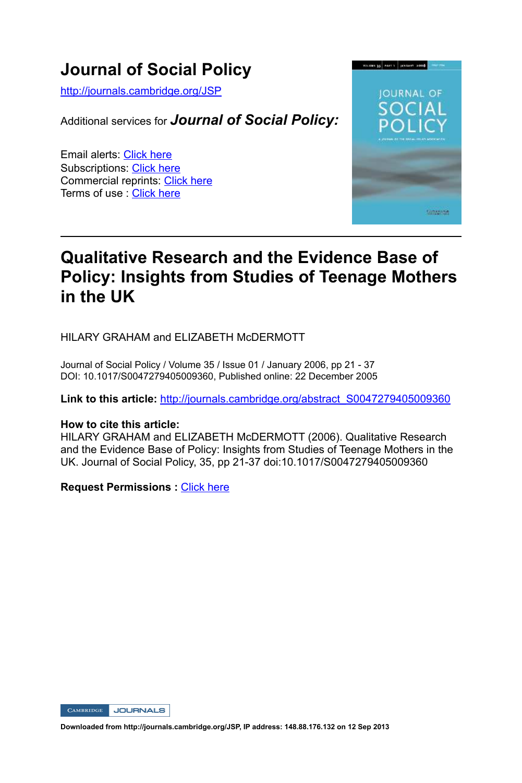## **Journal of Social Policy**

http://journals.cambridge.org/JSP

Additional services for *Journal of Social Policy:*

Email alerts: Click here Subscriptions: Click here Commercial reprints: Click here Terms of use : Click here



### **Qualitative Research and the Evidence Base of Policy: Insights from Studies of Teenage Mothers in the UK**

HILARY GRAHAM and ELIZABETH McDERMOTT

Journal of Social Policy / Volume 35 / Issue 01 / January 2006, pp 21 - 37 DOI: 10.1017/S0047279405009360, Published online: 22 December 2005

**Link to this article:** http://journals.cambridge.org/abstract\_S0047279405009360

#### **How to cite this article:**

HILARY GRAHAM and ELIZABETH McDERMOTT (2006). Qualitative Research and the Evidence Base of Policy: Insights from Studies of Teenage Mothers in the UK. Journal of Social Policy, 35, pp 21-37 doi:10.1017/S0047279405009360

**Request Permissions :** Click here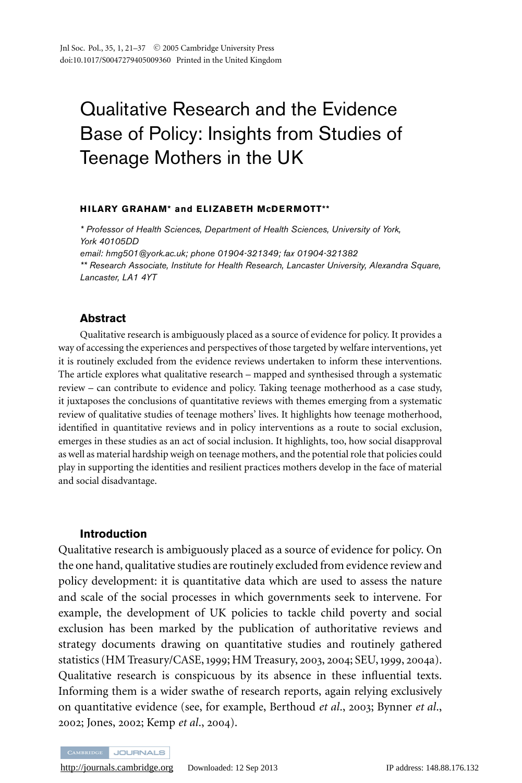# Qualitative Research and the Evidence Base of Policy: Insights from Studies of Teenage Mothers in the UK

#### **H ILARY GRAHAM\* and ELIZABETH McDERMOTT\*\***

*\* Professor of Health Sciences, Department of Health Sciences, University of York, York 40105DD email: hmg501@york.ac.uk; phone 01904-321349; fax 01904-321382 \*\* Research Associate, Institute for Health Research, Lancaster University, Alexandra Square, Lancaster, LA1 4YT*

#### **Abstract**

Qualitative research is ambiguously placed as a source of evidence for policy. It provides a way of accessing the experiences and perspectives of those targeted by welfare interventions, yet it is routinely excluded from the evidence reviews undertaken to inform these interventions. The article explores what qualitative research – mapped and synthesised through a systematic review – can contribute to evidence and policy. Taking teenage motherhood as a case study, it juxtaposes the conclusions of quantitative reviews with themes emerging from a systematic review of qualitative studies of teenage mothers' lives. It highlights how teenage motherhood, identified in quantitative reviews and in policy interventions as a route to social exclusion, emerges in these studies as an act of social inclusion. It highlights, too, how social disapproval as well as material hardship weigh on teenage mothers, and the potential role that policies could play in supporting the identities and resilient practices mothers develop in the face of material and social disadvantage.

#### **Introduction**

Qualitative research is ambiguously placed as a source of evidence for policy. On the one hand, qualitative studies are routinely excluded from evidence review and policy development: it is quantitative data which are used to assess the nature and scale of the social processes in which governments seek to intervene. For example, the development of UK policies to tackle child poverty and social exclusion has been marked by the publication of authoritative reviews and strategy documents drawing on quantitative studies and routinely gathered statistics (HM Treasury/CASE,1999; HM Treasury, 2003, 2004; SEU,1999, 2004a). Qualitative research is conspicuous by its absence in these influential texts. Informing them is a wider swathe of research reports, again relying exclusively on quantitative evidence (see, for example, Berthoud *et al*., 2003; Bynner *et al*., 2002; Jones, 2002; Kemp *et al*., 2004).

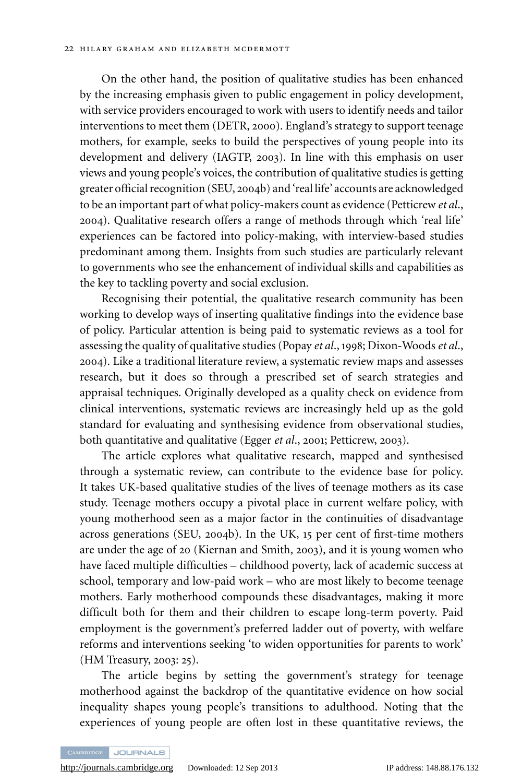On the other hand, the position of qualitative studies has been enhanced by the increasing emphasis given to public engagement in policy development, with service providers encouraged to work with users to identify needs and tailor interventions to meet them (DETR, 2000). England's strategy to support teenage mothers, for example, seeks to build the perspectives of young people into its development and delivery (IAGTP, 2003). In line with this emphasis on user views and young people's voices, the contribution of qualitative studies is getting greater official recognition (SEU, 2004b) and 'real life' accounts are acknowledged to be an important part of what policy-makers count as evidence (Petticrew *et al*., 2004). Qualitative research offers a range of methods through which 'real life' experiences can be factored into policy-making, with interview-based studies predominant among them. Insights from such studies are particularly relevant to governments who see the enhancement of individual skills and capabilities as the key to tackling poverty and social exclusion.

Recognising their potential, the qualitative research community has been working to develop ways of inserting qualitative findings into the evidence base of policy. Particular attention is being paid to systematic reviews as a tool for assessing the quality of qualitative studies (Popay *et al*., 1998; Dixon-Woods*et al*., 2004). Like a traditional literature review, a systematic review maps and assesses research, but it does so through a prescribed set of search strategies and appraisal techniques. Originally developed as a quality check on evidence from clinical interventions, systematic reviews are increasingly held up as the gold standard for evaluating and synthesising evidence from observational studies, both quantitative and qualitative (Egger *et al*., 2001; Petticrew, 2003).

The article explores what qualitative research, mapped and synthesised through a systematic review, can contribute to the evidence base for policy. It takes UK-based qualitative studies of the lives of teenage mothers as its case study. Teenage mothers occupy a pivotal place in current welfare policy, with young motherhood seen as a major factor in the continuities of disadvantage across generations (SEU, 2004b). In the UK, 15 per cent of first-time mothers are under the age of 20 (Kiernan and Smith, 2003), and it is young women who have faced multiple difficulties – childhood poverty, lack of academic success at school, temporary and low-paid work – who are most likely to become teenage mothers. Early motherhood compounds these disadvantages, making it more difficult both for them and their children to escape long-term poverty. Paid employment is the government's preferred ladder out of poverty, with welfare reforms and interventions seeking 'to widen opportunities for parents to work' (HM Treasury, 2003: 25).

The article begins by setting the government's strategy for teenage motherhood against the backdrop of the quantitative evidence on how social inequality shapes young people's transitions to adulthood. Noting that the experiences of young people are often lost in these quantitative reviews, the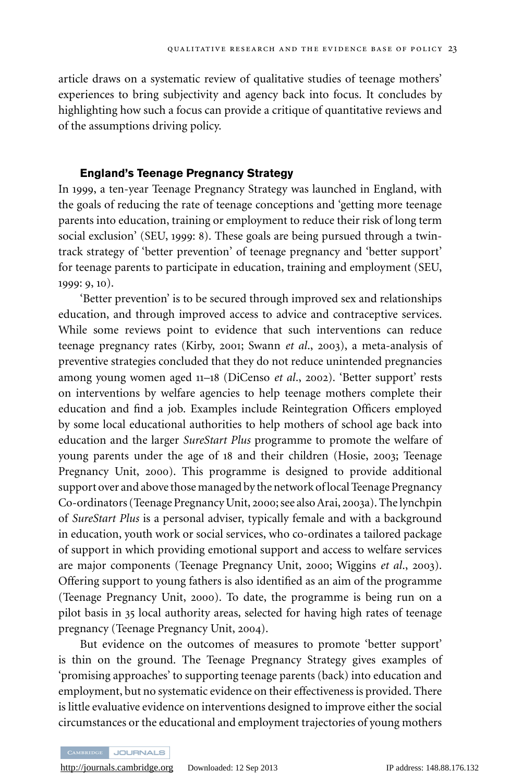article draws on a systematic review of qualitative studies of teenage mothers' experiences to bring subjectivity and agency back into focus. It concludes by highlighting how such a focus can provide a critique of quantitative reviews and of the assumptions driving policy.

#### **England's Teenage Pregnancy Strategy**

In 1999, a ten-year Teenage Pregnancy Strategy was launched in England, with the goals of reducing the rate of teenage conceptions and 'getting more teenage parents into education, training or employment to reduce their risk of long term social exclusion' (SEU, 1999: 8). These goals are being pursued through a twintrack strategy of 'better prevention' of teenage pregnancy and 'better support' for teenage parents to participate in education, training and employment (SEU, 1999: 9, 10).

'Better prevention' is to be secured through improved sex and relationships education, and through improved access to advice and contraceptive services. While some reviews point to evidence that such interventions can reduce teenage pregnancy rates (Kirby, 2001; Swann *et al*., 2003), a meta-analysis of preventive strategies concluded that they do not reduce unintended pregnancies among young women aged 11–18 (DiCenso *et al*., 2002). 'Better support' rests on interventions by welfare agencies to help teenage mothers complete their education and find a job. Examples include Reintegration Officers employed by some local educational authorities to help mothers of school age back into education and the larger *SureStart Plus* programme to promote the welfare of young parents under the age of 18 and their children (Hosie, 2003; Teenage Pregnancy Unit, 2000). This programme is designed to provide additional support over and above those managed by the network of local Teenage Pregnancy Co-ordinators (Teenage Pregnancy Unit, 2000; see also Arai, 2003a). The lynchpin of *SureStart Plus* is a personal adviser, typically female and with a background in education, youth work or social services, who co-ordinates a tailored package of support in which providing emotional support and access to welfare services are major components (Teenage Pregnancy Unit, 2000; Wiggins *et al*., 2003). Offering support to young fathers is also identified as an aim of the programme (Teenage Pregnancy Unit, 2000). To date, the programme is being run on a pilot basis in 35 local authority areas, selected for having high rates of teenage pregnancy (Teenage Pregnancy Unit, 2004).

But evidence on the outcomes of measures to promote 'better support' is thin on the ground. The Teenage Pregnancy Strategy gives examples of 'promising approaches' to supporting teenage parents (back) into education and employment, but no systematic evidence on their effectiveness is provided. There is little evaluative evidence on interventions designed to improve either the social circumstances or the educational and employment trajectories of young mothers

CAMBRIDGE JOURNALS

<http://journals.cambridge.org> Downloaded: 12 Sep 2013 IP address: 148.88.176.132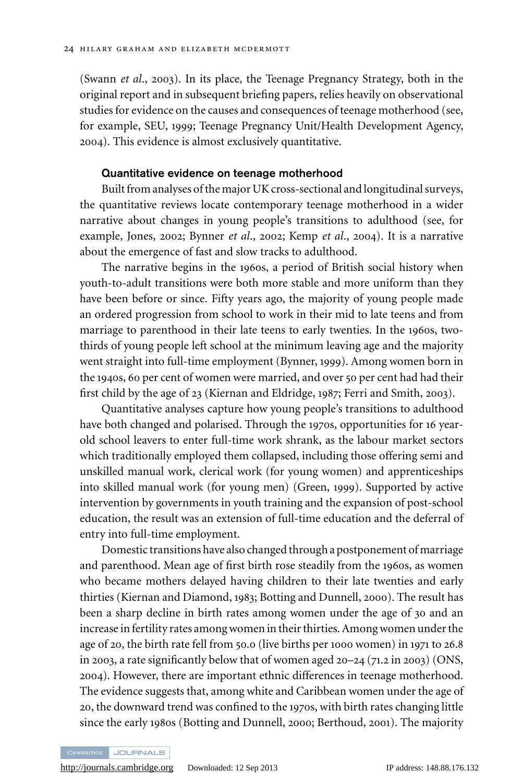(Swann *et al*., 2003). In its place, the Teenage Pregnancy Strategy, both in the original report and in subsequent briefing papers, relies heavily on observational studies for evidence on the causes and consequences of teenage motherhood (see, for example, SEU, 1999; Teenage Pregnancy Unit/Health Development Agency, 2004). This evidence is almost exclusively quantitative.

#### **Quantitative evidence on teenage motherhood**

Built from analyses of the major UK cross-sectional and longitudinal surveys, the quantitative reviews locate contemporary teenage motherhood in a wider narrative about changes in young people's transitions to adulthood (see, for example, Jones, 2002; Bynner *et al*., 2002; Kemp *et al*., 2004). It is a narrative about the emergence of fast and slow tracks to adulthood.

The narrative begins in the 1960s, a period of British social history when youth-to-adult transitions were both more stable and more uniform than they have been before or since. Fifty years ago, the majority of young people made an ordered progression from school to work in their mid to late teens and from marriage to parenthood in their late teens to early twenties. In the 1960s, twothirds of young people left school at the minimum leaving age and the majority went straight into full-time employment (Bynner, 1999). Among women born in the 1940s, 60 per cent of women were married, and over 50 per cent had had their first child by the age of 23 (Kiernan and Eldridge, 1987; Ferri and Smith, 2003).

Quantitative analyses capture how young people's transitions to adulthood have both changed and polarised. Through the 1970s, opportunities for 16 yearold school leavers to enter full-time work shrank, as the labour market sectors which traditionally employed them collapsed, including those offering semi and unskilled manual work, clerical work (for young women) and apprenticeships into skilled manual work (for young men) (Green, 1999). Supported by active intervention by governments in youth training and the expansion of post-school education, the result was an extension of full-time education and the deferral of entry into full-time employment.

Domestic transitions have also changed through a postponement of marriage and parenthood. Mean age of first birth rose steadily from the 1960s, as women who became mothers delayed having children to their late twenties and early thirties (Kiernan and Diamond, 1983; Botting and Dunnell, 2000). The result has been a sharp decline in birth rates among women under the age of 30 and an increase in fertility rates among women in their thirties. Among women under the age of 20, the birth rate fell from 50.0 (live births per 1000 women) in 1971 to 26.8 in 2003, a rate significantly below that of women aged 20–24 (71.2 in 2003) (ONS, 2004). However, there are important ethnic differences in teenage motherhood. The evidence suggests that, among white and Caribbean women under the age of 20, the downward trend was confined to the 1970s, with birth rates changing little since the early 1980s (Botting and Dunnell, 2000; Berthoud, 2001). The majority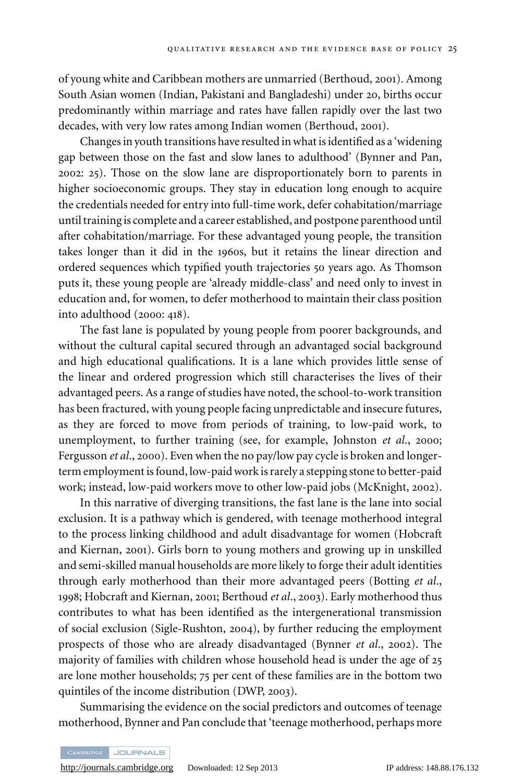of young white and Caribbean mothers are unmarried (Berthoud, 2001). Among South Asian women (Indian, Pakistani and Bangladeshi) under 20, births occur predominantly within marriage and rates have fallen rapidly over the last two decades, with very low rates among Indian women (Berthoud, 2001).

Changes in youth transitions have resulted in what is identified as a 'widening gap between those on the fast and slow lanes to adulthood' (Bynner and Pan, 2002: 25). Those on the slow lane are disproportionately born to parents in higher socioeconomic groups. They stay in education long enough to acquire the credentials needed for entry into full-time work, defer cohabitation/marriage until training is complete and a career established, and postpone parenthood until after cohabitation/marriage. For these advantaged young people, the transition takes longer than it did in the 1960s, but it retains the linear direction and ordered sequences which typified youth trajectories 50 years ago. As Thomson puts it, these young people are 'already middle-class' and need only to invest in education and, for women, to defer motherhood to maintain their class position into adulthood (2000: 418).

The fast lane is populated by young people from poorer backgrounds, and without the cultural capital secured through an advantaged social background and high educational qualifications. It is a lane which provides little sense of the linear and ordered progression which still characterises the lives of their advantaged peers. As a range of studies have noted, the school-to-work transition has been fractured, with young people facing unpredictable and insecure futures, as they are forced to move from periods of training, to low-paid work, to unemployment, to further training (see, for example, Johnston *et al*., 2000; Fergusson *et al*., 2000). Even when the no pay/low pay cycle is broken and longerterm employment is found, low-paid work is rarely a stepping stone to better-paid work; instead, low-paid workers move to other low-paid jobs (McKnight, 2002).

In this narrative of diverging transitions, the fast lane is the lane into social exclusion. It is a pathway which is gendered, with teenage motherhood integral to the process linking childhood and adult disadvantage for women (Hobcraft and Kiernan, 2001). Girls born to young mothers and growing up in unskilled and semi-skilled manual households are more likely to forge their adult identities through early motherhood than their more advantaged peers (Botting *et al*., 1998; Hobcraft and Kiernan, 2001; Berthoud *et al*., 2003). Early motherhood thus contributes to what has been identified as the intergenerational transmission of social exclusion (Sigle-Rushton, 2004), by further reducing the employment prospects of those who are already disadvantaged (Bynner *et al*., 2002). The majority of families with children whose household head is under the age of 25 are lone mother households; 75 per cent of these families are in the bottom two quintiles of the income distribution (DWP, 2003).

Summarising the evidence on the social predictors and outcomes of teenage motherhood, Bynner and Pan conclude that 'teenage motherhood, perhaps more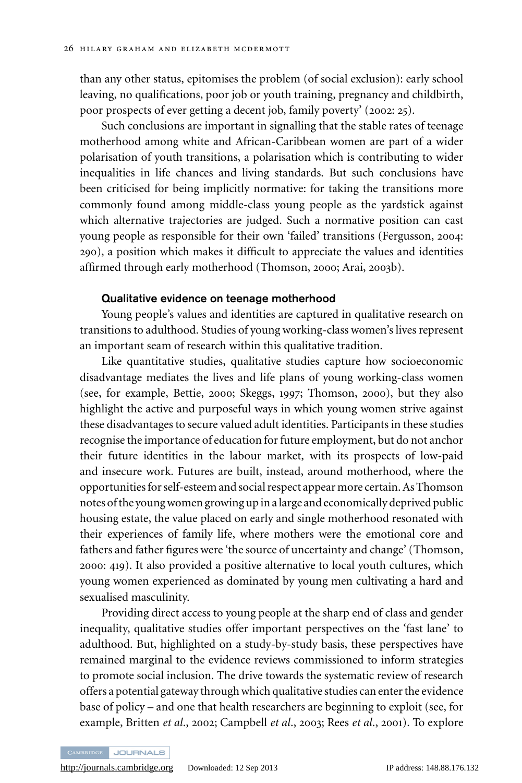than any other status, epitomises the problem (of social exclusion): early school leaving, no qualifications, poor job or youth training, pregnancy and childbirth, poor prospects of ever getting a decent job, family poverty' (2002: 25).

Such conclusions are important in signalling that the stable rates of teenage motherhood among white and African-Caribbean women are part of a wider polarisation of youth transitions, a polarisation which is contributing to wider inequalities in life chances and living standards. But such conclusions have been criticised for being implicitly normative: for taking the transitions more commonly found among middle-class young people as the yardstick against which alternative trajectories are judged. Such a normative position can cast young people as responsible for their own 'failed' transitions (Fergusson, 2004: 290), a position which makes it difficult to appreciate the values and identities affirmed through early motherhood (Thomson, 2000; Arai, 2003b).

#### **Qualitative evidence on teenage motherhood**

Young people's values and identities are captured in qualitative research on transitions to adulthood. Studies of young working-class women's lives represent an important seam of research within this qualitative tradition.

Like quantitative studies, qualitative studies capture how socioeconomic disadvantage mediates the lives and life plans of young working-class women (see, for example, Bettie, 2000; Skeggs, 1997; Thomson, 2000), but they also highlight the active and purposeful ways in which young women strive against these disadvantages to secure valued adult identities. Participants in these studies recognise the importance of education for future employment, but do not anchor their future identities in the labour market, with its prospects of low-paid and insecure work. Futures are built, instead, around motherhood, where the opportunities for self-esteem and social respect appear more certain. As Thomson notes of the young women growing up in a large and economically deprived public housing estate, the value placed on early and single motherhood resonated with their experiences of family life, where mothers were the emotional core and fathers and father figures were 'the source of uncertainty and change' (Thomson, 2000: 419). It also provided a positive alternative to local youth cultures, which young women experienced as dominated by young men cultivating a hard and sexualised masculinity.

Providing direct access to young people at the sharp end of class and gender inequality, qualitative studies offer important perspectives on the 'fast lane' to adulthood. But, highlighted on a study-by-study basis, these perspectives have remained marginal to the evidence reviews commissioned to inform strategies to promote social inclusion. The drive towards the systematic review of research offers a potential gateway through which qualitative studies can enter the evidence base of policy – and one that health researchers are beginning to exploit (see, for example, Britten *et al*., 2002; Campbell *et al*., 2003; Rees *et al*., 2001). To explore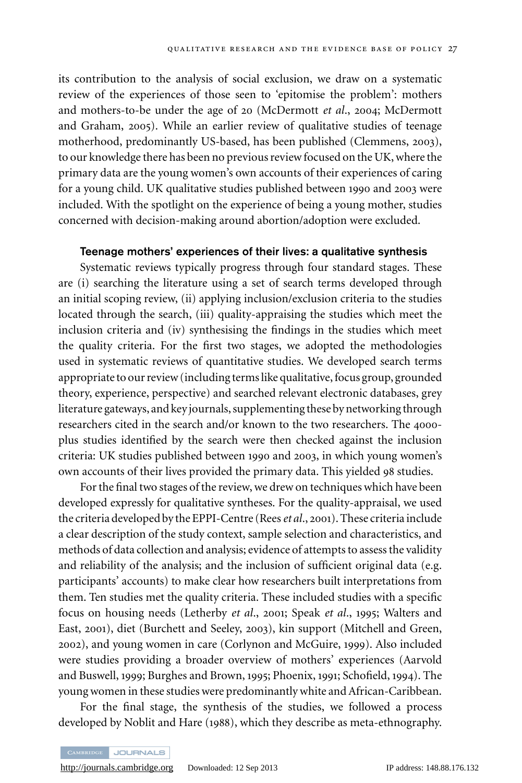its contribution to the analysis of social exclusion, we draw on a systematic review of the experiences of those seen to 'epitomise the problem': mothers and mothers-to-be under the age of 20 (McDermott *et al*., 2004; McDermott and Graham, 2005). While an earlier review of qualitative studies of teenage motherhood, predominantly US-based, has been published (Clemmens, 2003), to our knowledge there has been no previous review focused on the UK, where the primary data are the young women's own accounts of their experiences of caring for a young child. UK qualitative studies published between 1990 and 2003 were included. With the spotlight on the experience of being a young mother, studies concerned with decision-making around abortion/adoption were excluded.

#### **Teenage mothers' experiences of their lives: a qualitative synthesis**

Systematic reviews typically progress through four standard stages. These are (i) searching the literature using a set of search terms developed through an initial scoping review, (ii) applying inclusion/exclusion criteria to the studies located through the search, (iii) quality-appraising the studies which meet the inclusion criteria and (iv) synthesising the findings in the studies which meet the quality criteria. For the first two stages, we adopted the methodologies used in systematic reviews of quantitative studies. We developed search terms appropriate to our review (including terms like qualitative, focus group, grounded theory, experience, perspective) and searched relevant electronic databases, grey literature gateways, and key journals, supplementing these by networking through researchers cited in the search and/or known to the two researchers. The 4000 plus studies identified by the search were then checked against the inclusion criteria: UK studies published between 1990 and 2003, in which young women's own accounts of their lives provided the primary data. This yielded 98 studies.

For the final two stages of the review, we drew on techniques which have been developed expressly for qualitative syntheses. For the quality-appraisal, we used the criteria developed by the EPPI-Centre (Rees*et al*., 2001). These criteria include a clear description of the study context, sample selection and characteristics, and methods of data collection and analysis; evidence of attempts to assess the validity and reliability of the analysis; and the inclusion of sufficient original data (e.g. participants' accounts) to make clear how researchers built interpretations from them. Ten studies met the quality criteria. These included studies with a specific focus on housing needs (Letherby *et al*., 2001; Speak *et al*., 1995; Walters and East, 2001), diet (Burchett and Seeley, 2003), kin support (Mitchell and Green, 2002), and young women in care (Corlynon and McGuire, 1999). Also included were studies providing a broader overview of mothers' experiences (Aarvold and Buswell, 1999; Burghes and Brown, 1995; Phoenix, 1991; Schofield, 1994). The young women in these studies were predominantly white and African-Caribbean.

For the final stage, the synthesis of the studies, we followed a process developed by Noblit and Hare (1988), which they describe as meta-ethnography.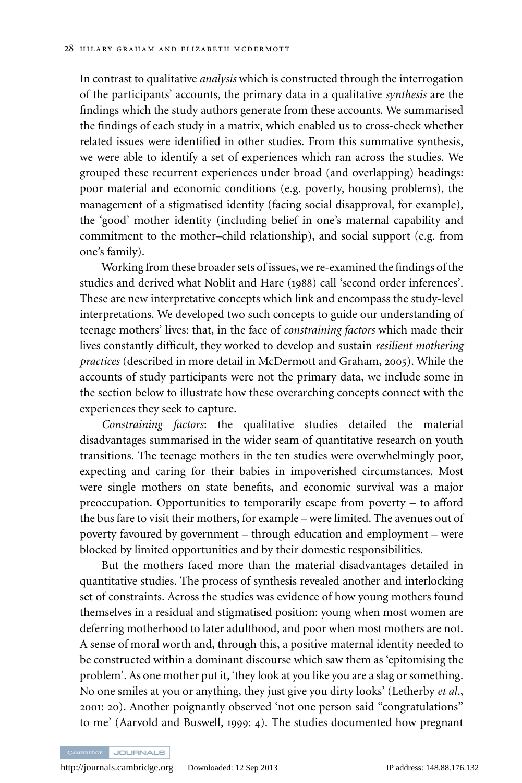In contrast to qualitative *analysis* which is constructed through the interrogation of the participants' accounts, the primary data in a qualitative *synthesis* are the findings which the study authors generate from these accounts. We summarised the findings of each study in a matrix, which enabled us to cross-check whether related issues were identified in other studies. From this summative synthesis, we were able to identify a set of experiences which ran across the studies. We grouped these recurrent experiences under broad (and overlapping) headings: poor material and economic conditions (e.g. poverty, housing problems), the management of a stigmatised identity (facing social disapproval, for example), the 'good' mother identity (including belief in one's maternal capability and commitment to the mother–child relationship), and social support (e.g. from one's family).

Working from these broader sets of issues, we re-examined the findings of the studies and derived what Noblit and Hare (1988) call 'second order inferences'. These are new interpretative concepts which link and encompass the study-level interpretations. We developed two such concepts to guide our understanding of teenage mothers' lives: that, in the face of *constraining factors* which made their lives constantly difficult, they worked to develop and sustain *resilient mothering practices* (described in more detail in McDermott and Graham, 2005). While the accounts of study participants were not the primary data, we include some in the section below to illustrate how these overarching concepts connect with the experiences they seek to capture.

*Constraining factors*: the qualitative studies detailed the material disadvantages summarised in the wider seam of quantitative research on youth transitions. The teenage mothers in the ten studies were overwhelmingly poor, expecting and caring for their babies in impoverished circumstances. Most were single mothers on state benefits, and economic survival was a major preoccupation. Opportunities to temporarily escape from poverty – to afford the bus fare to visit their mothers, for example – were limited. The avenues out of poverty favoured by government – through education and employment – were blocked by limited opportunities and by their domestic responsibilities.

But the mothers faced more than the material disadvantages detailed in quantitative studies. The process of synthesis revealed another and interlocking set of constraints. Across the studies was evidence of how young mothers found themselves in a residual and stigmatised position: young when most women are deferring motherhood to later adulthood, and poor when most mothers are not. A sense of moral worth and, through this, a positive maternal identity needed to be constructed within a dominant discourse which saw them as 'epitomising the problem'. As one mother put it, 'they look at you like you are a slag or something. No one smiles at you or anything, they just give you dirty looks' (Letherby *et al*., 2001: 20). Another poignantly observed 'not one person said "congratulations" to me' (Aarvold and Buswell, 1999: 4). The studies documented how pregnant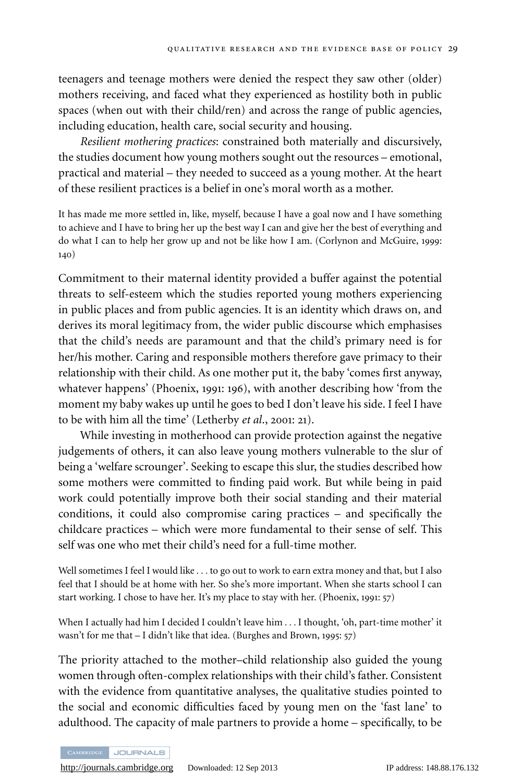teenagers and teenage mothers were denied the respect they saw other (older) mothers receiving, and faced what they experienced as hostility both in public spaces (when out with their child/ren) and across the range of public agencies, including education, health care, social security and housing.

*Resilient mothering practices*: constrained both materially and discursively, the studies document how young mothers sought out the resources – emotional, practical and material – they needed to succeed as a young mother. At the heart of these resilient practices is a belief in one's moral worth as a mother.

It has made me more settled in, like, myself, because I have a goal now and I have something to achieve and I have to bring her up the best way I can and give her the best of everything and do what I can to help her grow up and not be like how I am. (Corlynon and McGuire, 1999: 140)

Commitment to their maternal identity provided a buffer against the potential threats to self-esteem which the studies reported young mothers experiencing in public places and from public agencies. It is an identity which draws on, and derives its moral legitimacy from, the wider public discourse which emphasises that the child's needs are paramount and that the child's primary need is for her/his mother. Caring and responsible mothers therefore gave primacy to their relationship with their child. As one mother put it, the baby 'comes first anyway, whatever happens' (Phoenix, 1991: 196), with another describing how 'from the moment my baby wakes up until he goes to bed I don't leave his side. I feel I have to be with him all the time' (Letherby *et al*., 2001: 21).

While investing in motherhood can provide protection against the negative judgements of others, it can also leave young mothers vulnerable to the slur of being a 'welfare scrounger'. Seeking to escape this slur, the studies described how some mothers were committed to finding paid work. But while being in paid work could potentially improve both their social standing and their material conditions, it could also compromise caring practices – and specifically the childcare practices – which were more fundamental to their sense of self. This self was one who met their child's need for a full-time mother.

Well sometimes I feel I would like *...* to go out to work to earn extra money and that, but I also feel that I should be at home with her. So she's more important. When she starts school I can start working. I chose to have her. It's my place to stay with her. (Phoenix, 1991: 57)

When I actually had him I decided I couldn't leave him *...*I thought, 'oh, part-time mother' it wasn't for me that – I didn't like that idea. (Burghes and Brown, 1995: 57)

The priority attached to the mother–child relationship also guided the young women through often-complex relationships with their child's father. Consistent with the evidence from quantitative analyses, the qualitative studies pointed to the social and economic difficulties faced by young men on the 'fast lane' to adulthood. The capacity of male partners to provide a home – specifically, to be

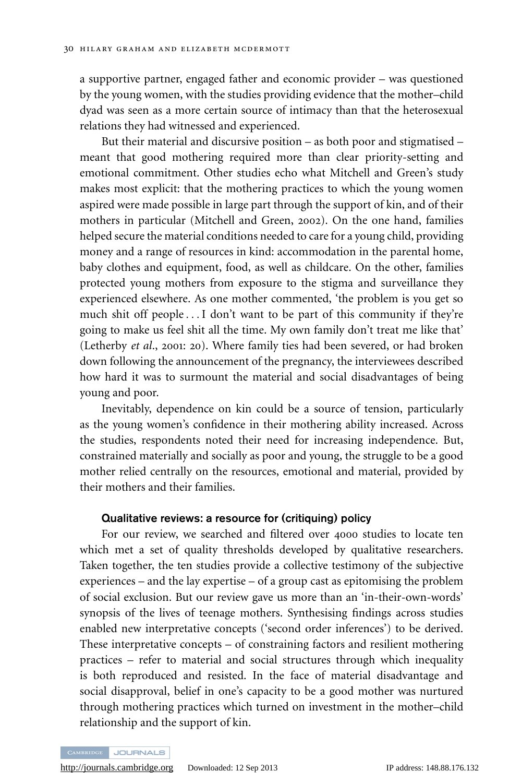a supportive partner, engaged father and economic provider – was questioned by the young women, with the studies providing evidence that the mother–child dyad was seen as a more certain source of intimacy than that the heterosexual relations they had witnessed and experienced.

But their material and discursive position – as both poor and stigmatised – meant that good mothering required more than clear priority-setting and emotional commitment. Other studies echo what Mitchell and Green's study makes most explicit: that the mothering practices to which the young women aspired were made possible in large part through the support of kin, and of their mothers in particular (Mitchell and Green, 2002). On the one hand, families helped secure the material conditions needed to care for a young child, providing money and a range of resources in kind: accommodation in the parental home, baby clothes and equipment, food, as well as childcare. On the other, families protected young mothers from exposure to the stigma and surveillance they experienced elsewhere. As one mother commented, 'the problem is you get so much shit off people *...* I don't want to be part of this community if they're going to make us feel shit all the time. My own family don't treat me like that' (Letherby *et al*., 2001: 20). Where family ties had been severed, or had broken down following the announcement of the pregnancy, the interviewees described how hard it was to surmount the material and social disadvantages of being young and poor.

Inevitably, dependence on kin could be a source of tension, particularly as the young women's confidence in their mothering ability increased. Across the studies, respondents noted their need for increasing independence. But, constrained materially and socially as poor and young, the struggle to be a good mother relied centrally on the resources, emotional and material, provided by their mothers and their families.

#### **Qualitative reviews: a resource for (critiquing) policy**

For our review, we searched and filtered over 4000 studies to locate ten which met a set of quality thresholds developed by qualitative researchers. Taken together, the ten studies provide a collective testimony of the subjective experiences – and the lay expertise – of a group cast as epitomising the problem of social exclusion. But our review gave us more than an 'in-their-own-words' synopsis of the lives of teenage mothers. Synthesising findings across studies enabled new interpretative concepts ('second order inferences') to be derived. These interpretative concepts – of constraining factors and resilient mothering practices – refer to material and social structures through which inequality is both reproduced and resisted. In the face of material disadvantage and social disapproval, belief in one's capacity to be a good mother was nurtured through mothering practices which turned on investment in the mother–child relationship and the support of kin.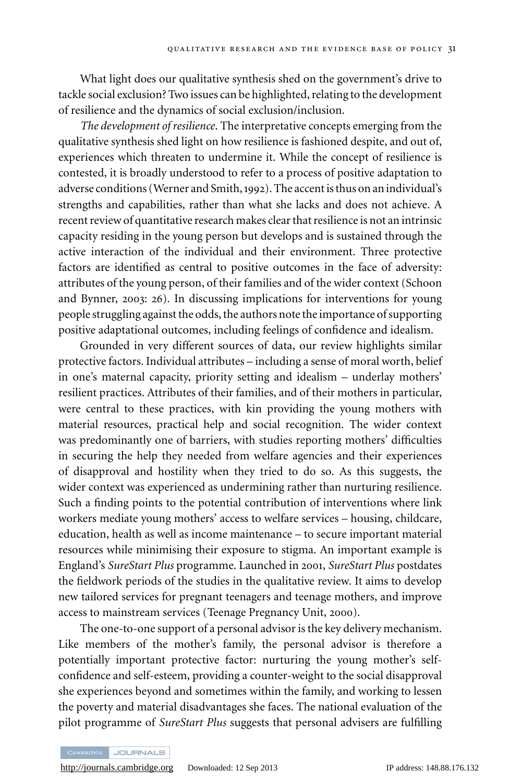What light does our qualitative synthesis shed on the government's drive to tackle social exclusion? Two issues can be highlighted, relating to the development of resilience and the dynamics of social exclusion/inclusion.

*The development of resilience*. The interpretative concepts emerging from the qualitative synthesis shed light on how resilience is fashioned despite, and out of, experiences which threaten to undermine it. While the concept of resilience is contested, it is broadly understood to refer to a process of positive adaptation to adverse conditions (Werner and Smith,1992). The accent is thus on an individual's strengths and capabilities, rather than what she lacks and does not achieve. A recent review of quantitative research makes clear that resilience is not an intrinsic capacity residing in the young person but develops and is sustained through the active interaction of the individual and their environment. Three protective factors are identified as central to positive outcomes in the face of adversity: attributes of the young person, of their families and of the wider context (Schoon and Bynner, 2003: 26). In discussing implications for interventions for young people struggling against the odds, the authors note the importance of supporting positive adaptational outcomes, including feelings of confidence and idealism.

Grounded in very different sources of data, our review highlights similar protective factors. Individual attributes – including a sense of moral worth, belief in one's maternal capacity, priority setting and idealism – underlay mothers' resilient practices. Attributes of their families, and of their mothers in particular, were central to these practices, with kin providing the young mothers with material resources, practical help and social recognition. The wider context was predominantly one of barriers, with studies reporting mothers' difficulties in securing the help they needed from welfare agencies and their experiences of disapproval and hostility when they tried to do so. As this suggests, the wider context was experienced as undermining rather than nurturing resilience. Such a finding points to the potential contribution of interventions where link workers mediate young mothers' access to welfare services – housing, childcare, education, health as well as income maintenance – to secure important material resources while minimising their exposure to stigma. An important example is England's *SureStart Plus* programme. Launched in 2001, *SureStart Plus* postdates the fieldwork periods of the studies in the qualitative review. It aims to develop new tailored services for pregnant teenagers and teenage mothers, and improve access to mainstream services (Teenage Pregnancy Unit, 2000).

The one-to-one support of a personal advisor is the key delivery mechanism. Like members of the mother's family, the personal advisor is therefore a potentially important protective factor: nurturing the young mother's selfconfidence and self-esteem, providing a counter-weight to the social disapproval she experiences beyond and sometimes within the family, and working to lessen the poverty and material disadvantages she faces. The national evaluation of the pilot programme of *SureStart Plus* suggests that personal advisers are fulfilling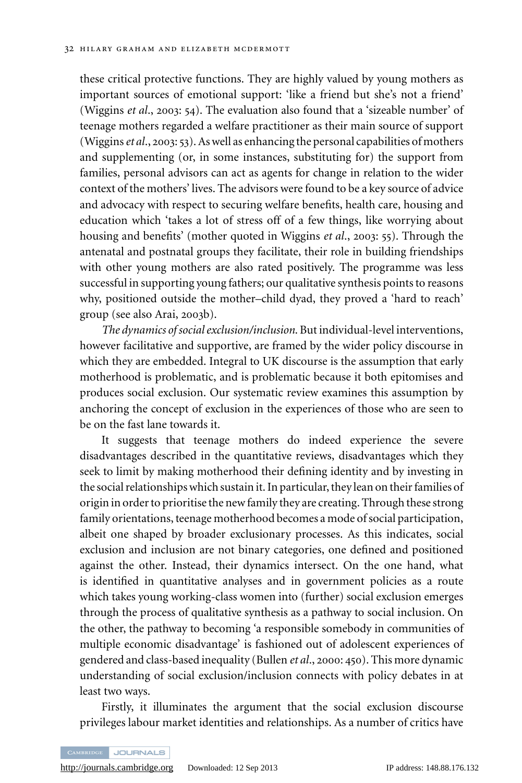these critical protective functions. They are highly valued by young mothers as important sources of emotional support: 'like a friend but she's not a friend' (Wiggins *et al*., 2003: 54). The evaluation also found that a 'sizeable number' of teenage mothers regarded a welfare practitioner as their main source of support (Wiggins et al., 2003: 53). As well as enhancing the personal capabilities of mothers and supplementing (or, in some instances, substituting for) the support from families, personal advisors can act as agents for change in relation to the wider context of the mothers' lives. The advisors were found to be a key source of advice and advocacy with respect to securing welfare benefits, health care, housing and education which 'takes a lot of stress off of a few things, like worrying about housing and benefits' (mother quoted in Wiggins *et al*., 2003: 55). Through the antenatal and postnatal groups they facilitate, their role in building friendships with other young mothers are also rated positively. The programme was less successful in supporting young fathers; our qualitative synthesis points to reasons why, positioned outside the mother–child dyad, they proved a 'hard to reach' group (see also Arai, 2003b).

*The dynamics of social exclusion/inclusion*. But individual-level interventions, however facilitative and supportive, are framed by the wider policy discourse in which they are embedded. Integral to UK discourse is the assumption that early motherhood is problematic, and is problematic because it both epitomises and produces social exclusion. Our systematic review examines this assumption by anchoring the concept of exclusion in the experiences of those who are seen to be on the fast lane towards it.

It suggests that teenage mothers do indeed experience the severe disadvantages described in the quantitative reviews, disadvantages which they seek to limit by making motherhood their defining identity and by investing in the social relationships which sustain it. In particular, they lean on their families of origin in order to prioritise the new family they are creating. Through these strong family orientations, teenage motherhood becomes a mode of social participation, albeit one shaped by broader exclusionary processes. As this indicates, social exclusion and inclusion are not binary categories, one defined and positioned against the other. Instead, their dynamics intersect. On the one hand, what is identified in quantitative analyses and in government policies as a route which takes young working-class women into (further) social exclusion emerges through the process of qualitative synthesis as a pathway to social inclusion. On the other, the pathway to becoming 'a responsible somebody in communities of multiple economic disadvantage' is fashioned out of adolescent experiences of gendered and class-based inequality (Bullen *et al*., 2000: 450). This more dynamic understanding of social exclusion/inclusion connects with policy debates in at least two ways.

Firstly, it illuminates the argument that the social exclusion discourse privileges labour market identities and relationships. As a number of critics have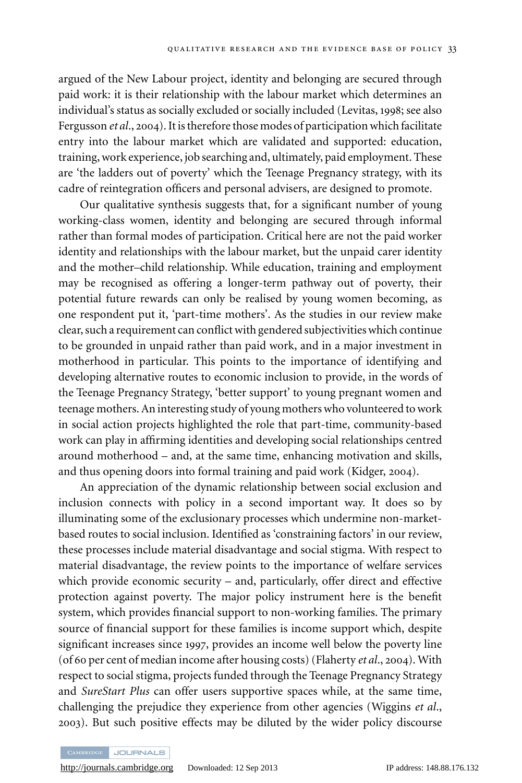argued of the New Labour project, identity and belonging are secured through paid work: it is their relationship with the labour market which determines an individual's status as socially excluded or socially included (Levitas, 1998; see also Fergusson *et al*., 2004). It is therefore those modes of participation which facilitate entry into the labour market which are validated and supported: education, training, work experience, job searching and, ultimately, paid employment. These are 'the ladders out of poverty' which the Teenage Pregnancy strategy, with its cadre of reintegration officers and personal advisers, are designed to promote.

Our qualitative synthesis suggests that, for a significant number of young working-class women, identity and belonging are secured through informal rather than formal modes of participation. Critical here are not the paid worker identity and relationships with the labour market, but the unpaid carer identity and the mother–child relationship. While education, training and employment may be recognised as offering a longer-term pathway out of poverty, their potential future rewards can only be realised by young women becoming, as one respondent put it, 'part-time mothers'. As the studies in our review make clear, such a requirement can conflict with gendered subjectivities which continue to be grounded in unpaid rather than paid work, and in a major investment in motherhood in particular. This points to the importance of identifying and developing alternative routes to economic inclusion to provide, in the words of the Teenage Pregnancy Strategy, 'better support' to young pregnant women and teenage mothers. An interesting study of young mothers who volunteered to work in social action projects highlighted the role that part-time, community-based work can play in affirming identities and developing social relationships centred around motherhood – and, at the same time, enhancing motivation and skills, and thus opening doors into formal training and paid work (Kidger, 2004).

An appreciation of the dynamic relationship between social exclusion and inclusion connects with policy in a second important way. It does so by illuminating some of the exclusionary processes which undermine non-marketbased routes to social inclusion. Identified as 'constraining factors' in our review, these processes include material disadvantage and social stigma. With respect to material disadvantage, the review points to the importance of welfare services which provide economic security – and, particularly, offer direct and effective protection against poverty. The major policy instrument here is the benefit system, which provides financial support to non-working families. The primary source of financial support for these families is income support which, despite significant increases since 1997, provides an income well below the poverty line (of 60 per cent of median income after housing costs) (Flaherty *et al*., 2004). With respect to social stigma, projects funded through the Teenage Pregnancy Strategy and *SureStart Plus* can offer users supportive spaces while, at the same time, challenging the prejudice they experience from other agencies (Wiggins *et al*., 2003). But such positive effects may be diluted by the wider policy discourse

CAMBRIDGE JOURNALS

<http://journals.cambridge.org> Downloaded: 12 Sep 2013 IP address: 148.88.176.132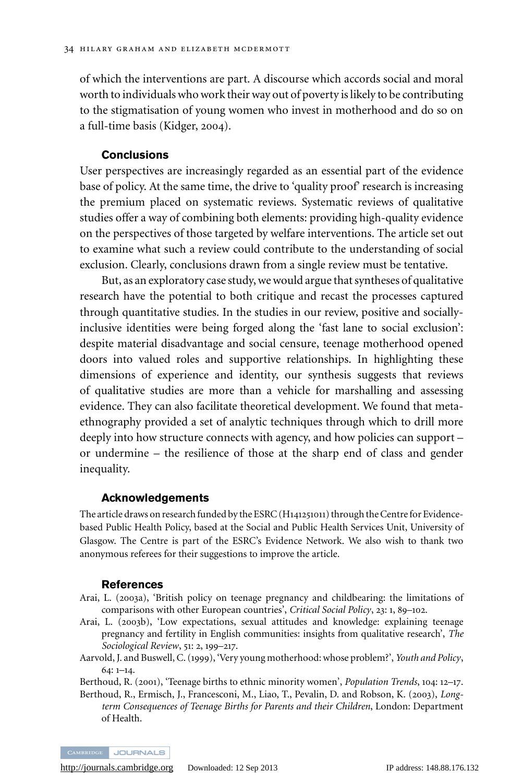of which the interventions are part. A discourse which accords social and moral worth to individuals who work their way out of poverty is likely to be contributing to the stigmatisation of young women who invest in motherhood and do so on a full-time basis (Kidger, 2004).

#### **Conclusions**

User perspectives are increasingly regarded as an essential part of the evidence base of policy. At the same time, the drive to 'quality proof' research is increasing the premium placed on systematic reviews. Systematic reviews of qualitative studies offer a way of combining both elements: providing high-quality evidence on the perspectives of those targeted by welfare interventions. The article set out to examine what such a review could contribute to the understanding of social exclusion. Clearly, conclusions drawn from a single review must be tentative.

But, as an exploratory case study, we would argue that syntheses of qualitative research have the potential to both critique and recast the processes captured through quantitative studies. In the studies in our review, positive and sociallyinclusive identities were being forged along the 'fast lane to social exclusion': despite material disadvantage and social censure, teenage motherhood opened doors into valued roles and supportive relationships. In highlighting these dimensions of experience and identity, our synthesis suggests that reviews of qualitative studies are more than a vehicle for marshalling and assessing evidence. They can also facilitate theoretical development. We found that metaethnography provided a set of analytic techniques through which to drill more deeply into how structure connects with agency, and how policies can support – or undermine – the resilience of those at the sharp end of class and gender inequality.

#### **Acknowledgements**

The article draws on research funded by the ESRC (H141251011) through the Centre for Evidencebased Public Health Policy, based at the Social and Public Health Services Unit, University of Glasgow. The Centre is part of the ESRC's Evidence Network. We also wish to thank two anonymous referees for their suggestions to improve the article.

#### **References**

- Arai, L. (2003a), 'British policy on teenage pregnancy and childbearing: the limitations of comparisons with other European countries', *Critical Social Policy*, 23: 1, 89–102.
- Arai, L. (2003b), 'Low expectations, sexual attitudes and knowledge: explaining teenage pregnancy and fertility in English communities: insights from qualitative research', *The Sociological Review*, 51: 2, 199–217.
- Aarvold, J. and Buswell, C. (1999), 'Very young motherhood: whose problem?', *Youth and Policy*, 64: 1–14.

Berthoud, R. (2001), 'Teenage births to ethnic minority women', *Population Trends*, 104: 12–17.

Berthoud, R., Ermisch, J., Francesconi, M., Liao, T., Pevalin, D. and Robson, K. (2003), *Longterm Consequences of Teenage Births for Parents and their Children*, London: Department of Health.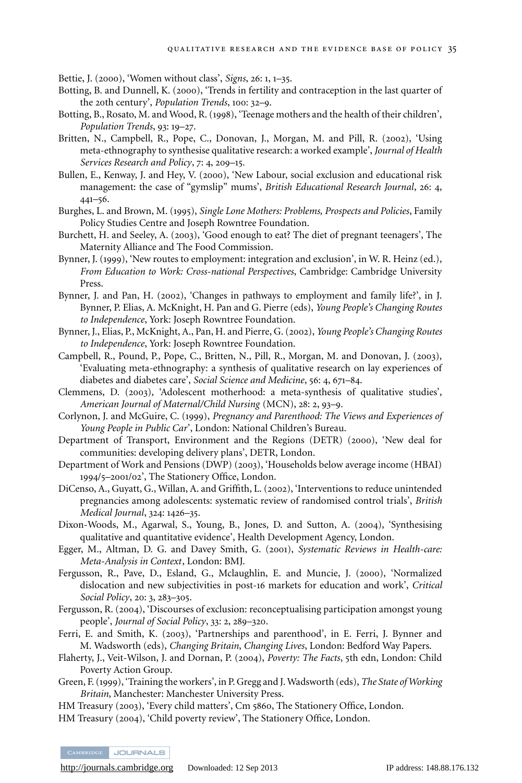Bettie, J. (2000), 'Women without class', *Signs*, 26: 1, 1–35.

- Botting, B. and Dunnell, K. (2000), 'Trends in fertility and contraception in the last quarter of the 20th century', *Population Trends*, 100: 32–9.
- Botting, B., Rosato, M. and Wood, R. (1998), 'Teenage mothers and the health of their children', *Population Trends*, 93: 19–27.
- Britten, N., Campbell, R., Pope, C., Donovan, J., Morgan, M. and Pill, R. (2002), 'Using meta-ethnography to synthesise qualitative research: a worked example', *Journal of Health Services Research and Policy*, 7: 4, 209–15.
- Bullen, E., Kenway, J. and Hey, V. (2000), 'New Labour, social exclusion and educational risk management: the case of "gymslip" mums', *British Educational Research Journal*, 26: 4, 441–56.
- Burghes, L. and Brown, M. (1995), *Single Lone Mothers: Problems, Prospects and Policies*, Family Policy Studies Centre and Joseph Rowntree Foundation.
- Burchett, H. and Seeley, A. (2003), 'Good enough to eat? The diet of pregnant teenagers', The Maternity Alliance and The Food Commission.
- Bynner, J. (1999), 'New routes to employment: integration and exclusion', in W. R. Heinz (ed.), *From Education to Work: Cross-national Perspectives*, Cambridge: Cambridge University Press.
- Bynner, J. and Pan, H. (2002), 'Changes in pathways to employment and family life?', in J. Bynner, P. Elias, A. McKnight, H. Pan and G. Pierre (eds), *Young People's Changing Routes to Independence*, York: Joseph Rowntree Foundation.
- Bynner, J., Elias, P., McKnight, A., Pan, H. and Pierre, G. (2002), *Young People's Changing Routes to Independence*, York: Joseph Rowntree Foundation.
- Campbell, R., Pound, P., Pope, C., Britten, N., Pill, R., Morgan, M. and Donovan, J. (2003), 'Evaluating meta-ethnography: a synthesis of qualitative research on lay experiences of diabetes and diabetes care', *Social Science and Medicine*, 56: 4, 671–84.
- Clemmens, D. (2003), 'Adolescent motherhood: a meta-synthesis of qualitative studies', *American Journal of Maternal/Child Nursing* (MCN), 28: 2, 93–9.
- Corlynon, J. and McGuire, C. (1999), *Pregnancy and Parenthood: The Views and Experiences of Young People in Public Car*', London: National Children's Bureau.

Department of Transport, Environment and the Regions (DETR) (2000), 'New deal for communities: developing delivery plans', DETR, London.

- Department of Work and Pensions (DWP) (2003), 'Households below average income (HBAI) 1994/5–2001/02', The Stationery Office, London.
- DiCenso, A., Guyatt, G., Willan, A. and Griffith, L. (2002), 'Interventions to reduce unintended pregnancies among adolescents: systematic review of randomised control trials', *British Medical Journal*, 324: 1426–35.
- Dixon-Woods, M., Agarwal, S., Young, B., Jones, D. and Sutton, A. (2004), 'Synthesising qualitative and quantitative evidence', Health Development Agency, London.
- Egger, M., Altman, D. G. and Davey Smith, G. (2001), *Systematic Reviews in Health-care: Meta-Analysis in Context*, London: BMJ.
- Fergusson, R., Pave, D., Esland, G., Mclaughlin, E. and Muncie, J. (2000), 'Normalized dislocation and new subjectivities in post-16 markets for education and work', *Critical Social Policy*, 20: 3, 283–305.
- Fergusson, R. (2004), 'Discourses of exclusion: reconceptualising participation amongst young people', *Journal of Social Policy*, 33: 2, 289–320.
- Ferri, E. and Smith, K. (2003), 'Partnerships and parenthood', in E. Ferri, J. Bynner and M. Wadsworth (eds), *Changing Britain*, *Changing Lives*, London: Bedford Way Papers.
- Flaherty, J., Veit-Wilson, J. and Dornan, P. (2004), *Poverty: The Facts*, 5th edn, London: Child Poverty Action Group.
- Green, F. (1999), 'Training the workers', in P. Gregg and J. Wadsworth (eds), *The State of Working Britain*, Manchester: Manchester University Press.
- HM Treasury (2003), 'Every child matters', Cm 5860, The Stationery Office, London.
- HM Treasury (2004), 'Child poverty review', The Stationery Office, London.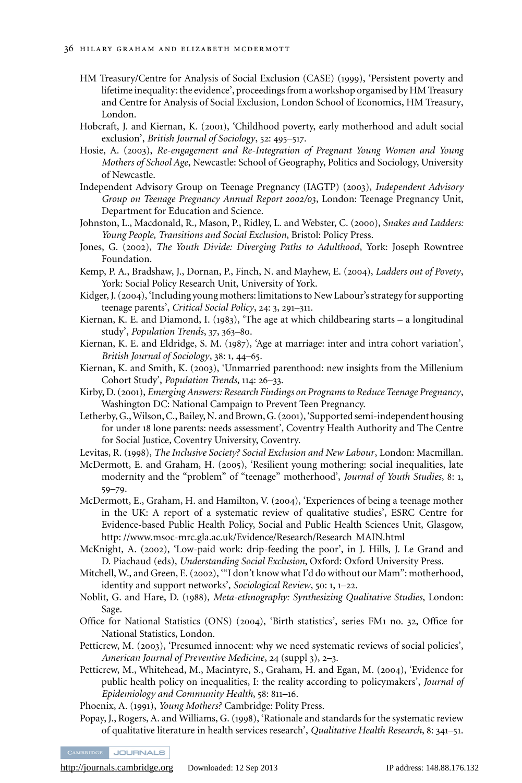- HM Treasury/Centre for Analysis of Social Exclusion (CASE) (1999), 'Persistent poverty and lifetime inequality: the evidence', proceedings from a workshop organised by HM Treasury and Centre for Analysis of Social Exclusion, London School of Economics, HM Treasury, London.
- Hobcraft, J. and Kiernan, K. (2001), 'Childhood poverty, early motherhood and adult social exclusion', *British Journal of Sociology*, 52: 495–517.
- Hosie, A. (2003), *Re-engagement and Re-Integration of Pregnant Young Women and Young Mothers of School Age*, Newcastle: School of Geography, Politics and Sociology, University of Newcastle.
- Independent Advisory Group on Teenage Pregnancy (IAGTP) (2003), *Independent Advisory Group on Teenage Pregnancy Annual Report 2002/03*, London: Teenage Pregnancy Unit, Department for Education and Science.
- Johnston, L., Macdonald, R., Mason, P., Ridley, L. and Webster, C. (2000), *Snakes and Ladders: Young People, Transitions and Social Exclusion*, Bristol: Policy Press.
- Jones, G. (2002), *The Youth Divide: Diverging Paths to Adulthood*, York: Joseph Rowntree Foundation.
- Kemp, P. A., Bradshaw, J., Dornan, P., Finch, N. and Mayhew, E. (2004), *Ladders out of Povety*, York: Social Policy Research Unit, University of York.
- Kidger, J. (2004), 'Including young mothers: limitations to New Labour's strategy for supporting teenage parents', *Critical Social Policy*, 24: 3, 291–311.
- Kiernan, K. E. and Diamond, I. (1983), 'The age at which childbearing starts a longitudinal study', *Population Trends*, 37, 363–80.
- Kiernan, K. E. and Eldridge, S. M. (1987), 'Age at marriage: inter and intra cohort variation', *British Journal of Sociology*, 38: 1, 44–65.
- Kiernan, K. and Smith, K. (2003), 'Unmarried parenthood: new insights from the Millenium Cohort Study', *Population Trends*, 114: 26–33.
- Kirby, D. (2001), *Emerging Answers: Research Findings on Programs to Reduce Teenage Pregnancy*, Washington DC: National Campaign to Prevent Teen Pregnancy.
- Letherby, G., Wilson, C., Bailey, N. and Brown, G. (2001), 'Supported semi-independent housing for under 18 lone parents: needs assessment', Coventry Health Authority and The Centre for Social Justice, Coventry University, Coventry.
- Levitas, R. (1998), *The Inclusive Society? Social Exclusion and New Labour*, London: Macmillan.
- McDermott, E. and Graham, H. (2005), 'Resilient young mothering: social inequalities, late modernity and the "problem" of "teenage" motherhood', *Journal of Youth Studies*, 8: 1, 59–79.
- McDermott, E., Graham, H. and Hamilton, V. (2004), 'Experiences of being a teenage mother in the UK: A report of a systematic review of qualitative studies', ESRC Centre for Evidence-based Public Health Policy, Social and Public Health Sciences Unit, Glasgow, http: //www.msoc-mrc.gla.ac.uk/Evidence/Research/Research MAIN.html
- McKnight, A. (2002), 'Low-paid work: drip-feeding the poor', in J. Hills, J. Le Grand and D. Piachaud (eds), *Understanding Social Exclusion*, Oxford: Oxford University Press.
- Mitchell, W., and Green, E. (2002), '"I don't know what I'd do without our Mam": motherhood, identity and support networks', *Sociological Review*, 50: 1, 1–22.
- Noblit, G. and Hare, D. (1988), *Meta-ethnography: Synthesizing Qualitative Studies*, London: Sage.
- Office for National Statistics (ONS) (2004), 'Birth statistics', series FM1 no. 32, Office for National Statistics, London.
- Petticrew, M. (2003), 'Presumed innocent: why we need systematic reviews of social policies', *American Journal of Preventive Medicine*, 24 (suppl 3), 2–3.
- Petticrew, M., Whitehead, M., Macintyre, S., Graham, H. and Egan, M. (2004), 'Evidence for public health policy on inequalities, I: the reality according to policymakers', *Journal of Epidemiology and Community Health*, 58: 811–16.

Phoenix, A. (1991), *Young Mothers?* Cambridge: Polity Press.

Popay, J., Rogers, A. and Williams, G. (1998), 'Rationale and standards for the systematic review of qualitative literature in health services research', *Qualitative Health Research*, 8: 341–51.